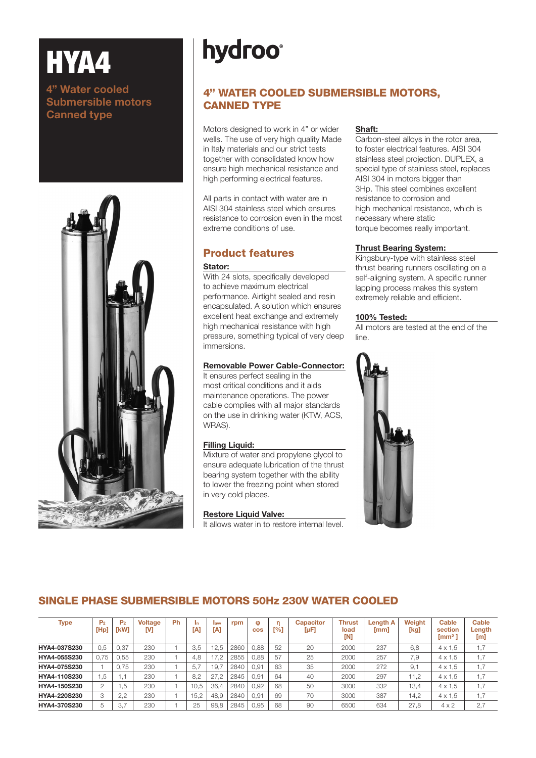# HYA4

### 4" Water cooled Submersible motors Canned type



# **hydroo**

# 4'' WATER COOLED SUBMERSIBLE MOTORS, CANNED TYPE

Motors designed to work in 4" or wider wells. The use of very high quality Made in Italy materials and our strict tests together with consolidated know how ensure high mechanical resistance and high performing electrical features.

All parts in contact with water are in AISI 304 stainless steel which ensures resistance to corrosion even in the most extreme conditions of use.

# Product features

#### Stator:

With 24 slots, specifically developed to achieve maximum electrical performance. Airtight sealed and resin encapsulated. A solution which ensures excellent heat exchange and extremely high mechanical resistance with high pressure, something typical of very deep immersions.

#### Removable Power Cable-Connector:

It ensures perfect sealing in the most critical conditions and it aids maintenance operations. The power cable complies with all major standards on the use in drinking water (KTW, ACS, WRAS).

#### Filling Liquid:

Mixture of water and propylene glycol to ensure adequate lubrication of the thrust bearing system together with the ability to lower the freezing point when stored in very cold places.

#### Restore Liquid Valve:

It allows water in to restore internal level.

#### Shaft:

Carbon-steel alloys in the rotor area, to foster electrical features. AISI 304 stainless steel projection. DUPLEX, a special type of stainless steel, replaces AISI 304 in motors bigger than 3Hp. This steel combines excellent resistance to corrosion and high mechanical resistance, which is necessary where static torque becomes really important.

#### Thrust Bearing System:

Kingsbury-type with stainless steel thrust bearing runners oscillating on a self-aligning system. A specific runner lapping process makes this system extremely reliable and efficient.

#### 100% Tested:

All motors are tested at the end of the line.



# SINGLE PHASE SUBMERSIBLE MOTORS 50Hz 230V WATER COOLED

| <b>Type</b>  | P <sub>2</sub><br>[Hp] | P <sub>2</sub><br><b>TkW1</b> | <b>Voltage</b><br>M | Ph | In.<br>[A] | lavy<br>[A] | rpm  | $\bullet$<br><b>COS</b> | [%] | <b>Capacitor</b><br>$[\mu F]$ | <b>Thrust</b><br>load<br>[N] | Length A<br>[mm] | Weight<br>[kg] | Cable<br>section<br>$\mathsf{Imm}^2$ | Cable<br>Length<br>[m] |
|--------------|------------------------|-------------------------------|---------------------|----|------------|-------------|------|-------------------------|-----|-------------------------------|------------------------------|------------------|----------------|--------------------------------------|------------------------|
| HYA4-037S230 | 0.5                    | 0.37                          | 230                 |    | 3.5        | 12.5        | 2860 | 0.88                    | 52  | 20                            | 2000                         | 237              | 6.8            | $4 \times 1.5$                       | 1,7                    |
| HYA4-055S230 | 0.75                   | 0.55                          | 230                 |    | 4.8        |             | 2855 | 0.88                    | 57  | 25                            | 2000                         | 257              | 7.9            | $4 \times 1.5$                       | 1,7                    |
| HYA4-075S230 |                        | 0.75                          | 230                 |    | 5.         | 19.7        | 2840 | 0.91                    | 63  | 35                            | 2000                         | 272              | 9.1            | $4 \times 1.5$                       | 1,7                    |
| HYA4-110S230 | 1.5                    |                               | 230                 |    | 8.2        | 27.2        | 2845 | 0.91                    | 64  | 40                            | 2000                         | 297              | 1.2            | $4 \times 1.5$                       | 1,7                    |
| HYA4-150S230 | $\overline{2}$         | . .5                          | 230                 |    | 10.5       | 36.4        | 2840 | 0.92                    | 68  | 50                            | 3000                         | 332              | 13,4           | $4 \times 1.5$                       | 1,7                    |
| HYA4-220S230 | 3                      | 2.2                           | 230                 |    | 15.2       | 48.9        | 2840 | 0.91                    | 69  | 70                            | 3000                         | 387              | 14.2           | $4 \times 1.5$                       | 1,7                    |
| HYA4-370S230 | 5                      | 3.7                           | 230                 |    | 25         | 98.8        | 2845 | 0.95                    | 68  | 90                            | 6500                         | 634              | 27,8           | $4 \times 2$                         | 2,7                    |